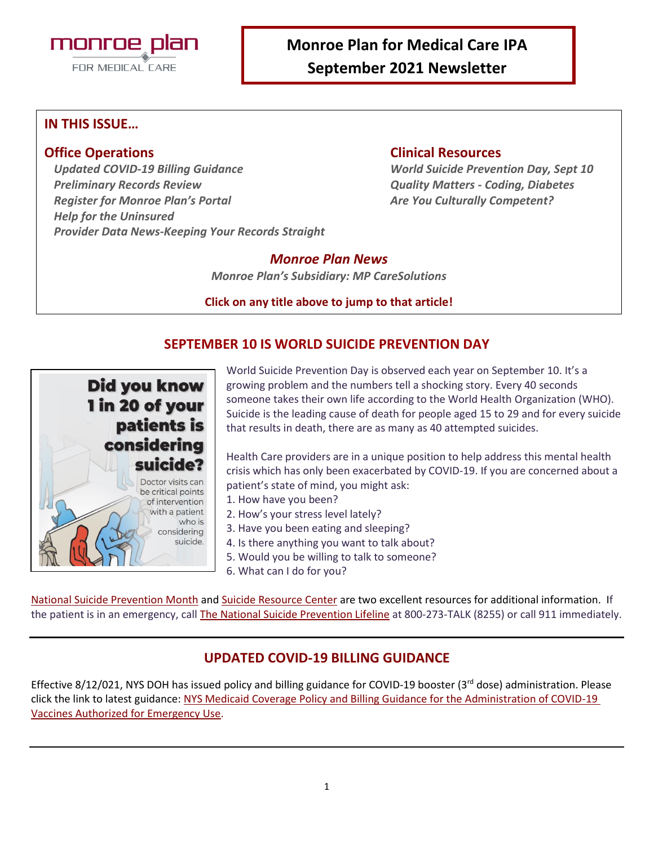

## **IN THIS ISSUE…**

*Updated COVID-19 Billing Guidance World Suicide Prevention Day, Sept 10 Preliminary Records Review Quality Matters - Coding, Diabetes Register for Monroe Plan's Portal Are You Culturally Competent? Help for the Uninsured Provider Data News-Keeping Your Records Straight*

## **Office Operations Clinical Resources**

## *Monroe Plan News*

*Monroe Plan's Subsidiary: MP CareSolutions*

**Click on any title above to jump to that article!**

## **SEPTEMBER 10 IS WORLD SUICIDE PREVENTION DAY**



World Suicide Prevention Day is observed each year on September 10. It's a growing problem and the numbers tell a shocking story. Every 40 seconds someone takes their own life according to the World Health Organization (WHO). Suicide is the leading cause of death for people aged 15 to 29 and for every suicide that results in death, there are as many as 40 attempted suicides.

Health Care providers are in a unique position to help address this mental health crisis which has only been exacerbated by COVID-19. If you are concerned about a patient's state of mind, you might ask:

- 1. How have you been?
- 2. How's your stress level lately?
- 3. Have you been eating and sleeping?
- 4. Is there anything you want to talk about?
- 5. Would you be willing to talk to someone?
- 6. What can I do for you?

[National Suicide Prevention Month](https://nationaltoday.com/national-suicide-prevention-month/) an[d Suicide Resource Center](https://www.sprc.org/settings/primary-care) are two excellent resources for additional information. If the patient is in an emergency, call [The National Suicide Prevention Lifeline](http://www.suicidepreventionlifeline.org/GetHelp/LifelineChat.aspx) at 800-273-TALK (8255) or call 911 immediately.

## **UPDATED COVID-19 BILLING GUIDANCE**

Effective 8/12/021, NYS DOH has issued policy and billing guidance for COVID-19 booster (3rd dose) administration. Please click the link to latest guidance: [NYS Medicaid Coverage Policy and Billing Guidance for the Administration of COVID-19](https://www.health.ny.gov/health_care/medicaid/covid19/guidance/docs/billing_guidance.pdf)  [Vaccines Authorized for Emergency Use.](https://www.health.ny.gov/health_care/medicaid/covid19/guidance/docs/billing_guidance.pdf)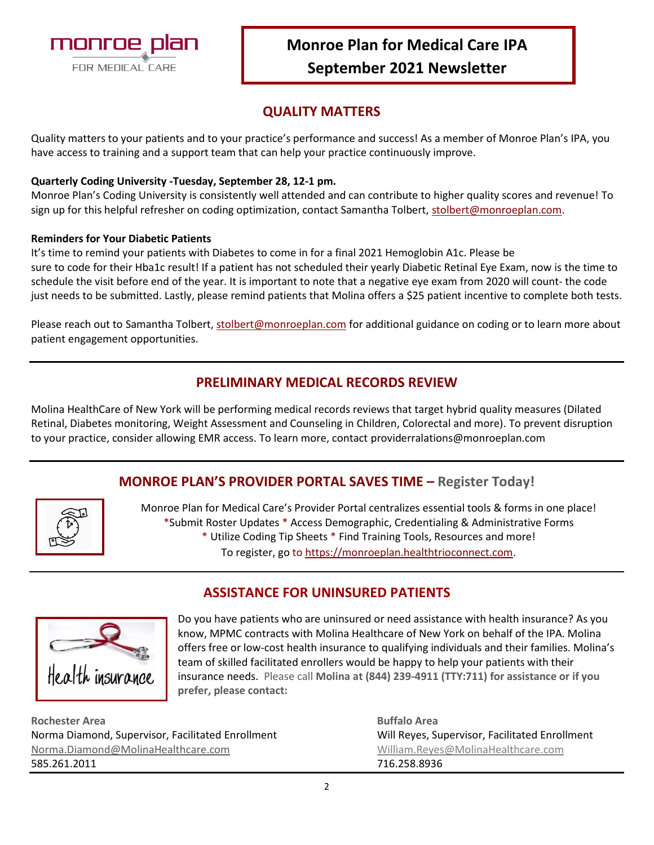

## **QUALITY MATTERS**

Quality matters to your patients and to your practice's performance and success! As a member of Monroe Plan's IPA, you have access to training and a support team that can help your practice continuously improve.

## **Quarterly Coding University -Tuesday, September 28, 12-1 pm.**

Monroe Plan's Coding University is consistently well attended and can contribute to higher quality scores and revenue! To sign up for this helpful refresher on coding optimization, contact Samantha Tolbert, [stolbert@monroeplan.com.](mailto:stolbert@monroeplan.com)

### **Reminders for Your Diabetic Patients**

It's time to remind your patients with Diabetes to come in for a final 2021 Hemoglobin A1c. Please be sure to code for their Hba1c result! If a patient has not scheduled their yearly Diabetic Retinal Eye Exam, now is the time to schedule the visit before end of the year. It is important to note that a negative eye exam from 2020 will count- the code just needs to be submitted. Lastly, please remind patients that Molina offers a \$25 patient incentive to complete both tests.

Please reach out to Samantha Tolbert[, stolbert@monroeplan.com](mailto:stolbert@monroeplan.com) for additional guidance on coding or to learn more about patient engagement opportunities.

## **PRELIMINARY MEDICAL RECORDS REVIEW**

Molina HealthCare of New York will be performing medical records reviews that target hybrid quality measures (Dilated Retinal, Diabetes monitoring, Weight Assessment and Counseling in Children, Colorectal and more). To prevent disruption to your practice, consider allowing EMR access. To learn more, contact providerralations@monroeplan.com

## **MONROE PLAN'S PROVIDER PORTAL SAVES TIME – Register Today!**

|--|

Monroe Plan for Medical Care's Provider Portal centralizes essential tools & forms in one place! \*Submit Roster Updates \* Access Demographic, Credentialing & Administrative Forms \* Utilize Coding Tip Sheets \* Find Training Tools, Resources and more! To register, go to [https://monroeplan.healthtrioconnect.com](https://monroeplan.healthtrioconnect.com/).

**ASSISTANCE FOR UNINSURED PATIENTS**

Do you have patients who are uninsured or need assistance with health insurance? As you know, MPMC contracts with Molina Healthcare of New York on behalf of the IPA. Molina offers free or low-cost health insurance to qualifying individuals and their families. Molina's team of skilled facilitated enrollers would be happy to help your patients with their insurance needs. Please call **Molina at (844) 239-4911 (TTY:711) for assistance or if you prefer, please contact:** 

**Rochester Area Buffalo Area** Norma Diamond, Supervisor, Facilitated Enrollment Will Reyes, Supervisor, Facilitated Enrollment [Norma.Diamond@MolinaHealthcare.com](mailto:Norma.Diamond@MolinaHealthcare.com) [William.Reyes@MolinaHealthcare.com](mailto:William.Reyes@MolinaHealthcare.com) 585.261.2011 716.258.8936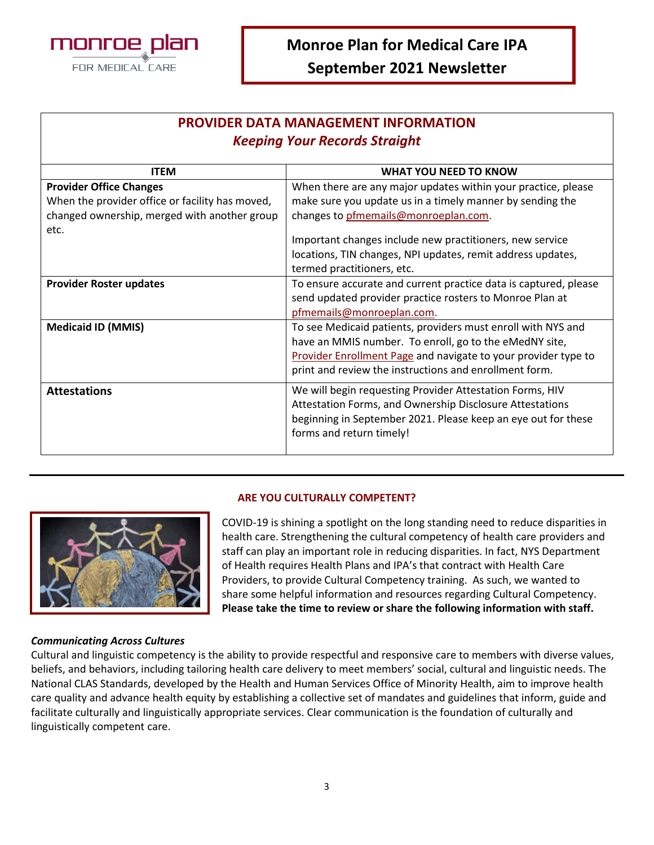

## **PROVIDER DATA MANAGEMENT INFORMATION** *Keeping Your Records Straight*

| <b>ITEM</b>                                     | <b>WHAT YOU NEED TO KNOW</b>                                     |  |
|-------------------------------------------------|------------------------------------------------------------------|--|
| <b>Provider Office Changes</b>                  | When there are any major updates within your practice, please    |  |
| When the provider office or facility has moved, | make sure you update us in a timely manner by sending the        |  |
| changed ownership, merged with another group    | changes to pfmemails@monroeplan.com.                             |  |
| etc.                                            |                                                                  |  |
|                                                 | Important changes include new practitioners, new service         |  |
|                                                 | locations, TIN changes, NPI updates, remit address updates,      |  |
|                                                 | termed practitioners, etc.                                       |  |
| <b>Provider Roster updates</b>                  | To ensure accurate and current practice data is captured, please |  |
|                                                 | send updated provider practice rosters to Monroe Plan at         |  |
|                                                 | pfmemails@monroeplan.com.                                        |  |
| <b>Medicaid ID (MMIS)</b>                       | To see Medicaid patients, providers must enroll with NYS and     |  |
|                                                 | have an MMIS number. To enroll, go to the eMedNY site,           |  |
|                                                 | Provider Enrollment Page and navigate to your provider type to   |  |
|                                                 | print and review the instructions and enrollment form.           |  |
| <b>Attestations</b>                             | We will begin requesting Provider Attestation Forms, HIV         |  |
|                                                 | Attestation Forms, and Ownership Disclosure Attestations         |  |
|                                                 | beginning in September 2021. Please keep an eye out for these    |  |
|                                                 | forms and return timely!                                         |  |
|                                                 |                                                                  |  |
|                                                 |                                                                  |  |

### **ARE YOU CULTURALLY COMPETENT?**



COVID-19 is shining a spotlight on the long standing need to reduce disparities in health care. Strengthening the cultural competency of health care providers and staff can play an important role in reducing disparities. In fact, NYS Department of Health requires Health Plans and IPA's that contract with Health Care Providers, to provide Cultural Competency training. As such, we wanted to share some helpful information and resources regarding Cultural Competency. **Please take the time to review or share the following information with staff.**

## *Communicating Across Cultures*

Cultural and linguistic competency is the ability to provide respectful and responsive care to members with diverse values, beliefs, and behaviors, including tailoring health care delivery to meet members' social, cultural and linguistic needs. The National CLAS Standards, developed by the Health and Human Services Office of Minority Health, aim to improve health care quality and advance health equity by establishing a collective set of mandates and guidelines that inform, guide and facilitate culturally and linguistically appropriate services. Clear communication is the foundation of culturally and linguistically competent care.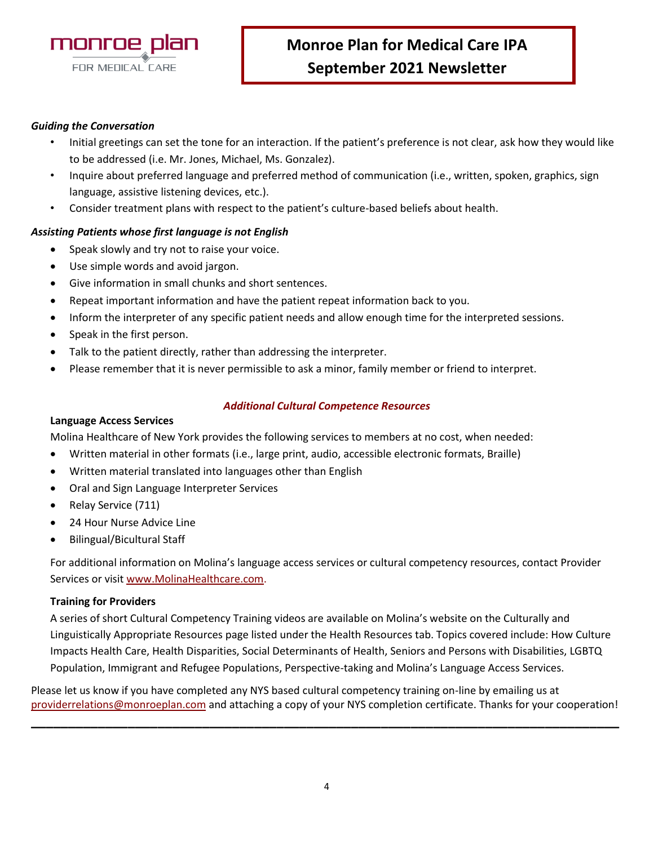

### *Guiding the Conversation*

- Initial greetings can set the tone for an interaction. If the patient's preference is not clear, ask how they would like to be addressed (i.e. Mr. Jones, Michael, Ms. Gonzalez).
- Inquire about preferred language and preferred method of communication (i.e., written, spoken, graphics, sign language, assistive listening devices, etc.).
- Consider treatment plans with respect to the patient's culture-based beliefs about health.

### *Assisting Patients whose first language is not English*

- Speak slowly and try not to raise your voice.
- Use simple words and avoid jargon.
- Give information in small chunks and short sentences.
- Repeat important information and have the patient repeat information back to you.
- Inform the interpreter of any specific patient needs and allow enough time for the interpreted sessions.
- Speak in the first person.
- Talk to the patient directly, rather than addressing the interpreter.
- Please remember that it is never permissible to ask a minor, family member or friend to interpret.

### *Additional Cultural Competence Resources*

### **Language Access Services**

Molina Healthcare of New York provides the following services to members at no cost, when needed:

- Written material in other formats (i.e., large print, audio, accessible electronic formats, Braille)
- Written material translated into languages other than English
- Oral and Sign Language Interpreter Services
- Relay Service (711)
- 24 Hour Nurse Advice Line
- Bilingual/Bicultural Staff

For additional information on Molina's language access services or cultural competency resources, contact Provider Services or visi[t www.MolinaHealthcare.com.](http://www.molinahealthcare.com/)

### **Training for Providers**

A series of short Cultural Competency Training videos are available on Molina's website on the Culturally and Linguistically Appropriate Resources page listed under the Health Resources tab. Topics covered include: How Culture Impacts Health Care, Health Disparities, Social Determinants of Health, Seniors and Persons with Disabilities, LGBTQ Population, Immigrant and Refugee Populations, Perspective-taking and Molina's Language Access Services.

Please let us know if you have completed any NYS based cultural competency training on-line by emailing us at [providerrelations@monroeplan.com](mailto:providerrelations@monroeplan.com) and attaching a copy of your NYS completion certificate. Thanks for your cooperation!

**\_\_\_\_\_\_\_\_\_\_\_\_\_\_\_\_\_\_\_\_\_\_\_\_\_\_\_\_\_\_\_\_\_\_\_\_\_\_\_\_\_\_\_\_\_\_\_\_\_\_\_\_\_\_\_\_\_\_\_\_\_\_\_\_\_\_\_\_\_\_\_\_\_\_\_\_\_\_\_**